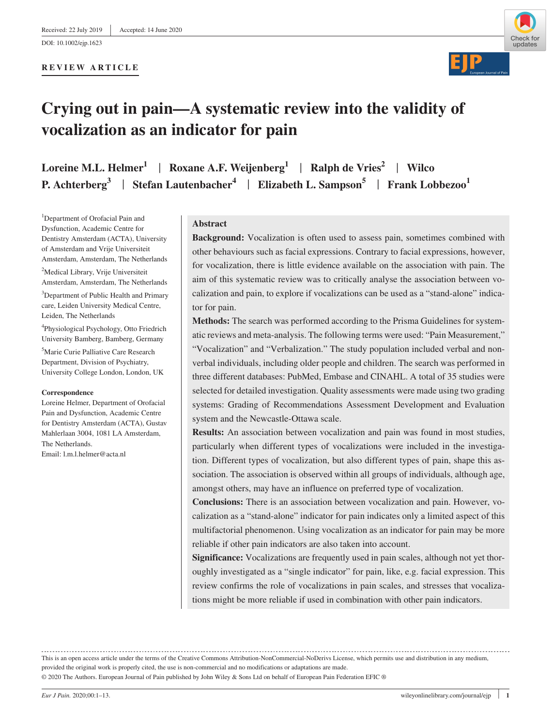#### **REVIEW ARTICLE**



# **Crying out in pain—A systematic review into the validity of vocalization as an indicator for pain**

**Loreine M.L. Helmer1** | **Roxane A.F. Weijenberg<sup>1</sup>** | **Ralph de Vries<sup>2</sup>** | **Wilco P. Achterberg**<sup>3</sup> | Stefan Lautenbacher<sup>4</sup> | Elizabeth L. Sampson<sup>5</sup> | Frank Lobbezoo<sup>1</sup>

<sup>1</sup>Department of Orofacial Pain and Dysfunction, Academic Centre for Dentistry Amsterdam (ACTA), University of Amsterdam and Vrije Universiteit Amsterdam, Amsterdam, The Netherlands 2 Medical Library, Vrije Universiteit

Amsterdam, Amsterdam, The Netherlands <sup>3</sup>Department of Public Health and Primary care, Leiden University Medical Centre, Leiden, The Netherlands

4 Physiological Psychology, Otto Friedrich University Bamberg, Bamberg, Germany

5 Marie Curie Palliative Care Research Department, Division of Psychiatry, University College London, London, UK

#### **Correspondence**

Loreine Helmer, Department of Orofacial Pain and Dysfunction, Academic Centre for Dentistry Amsterdam (ACTA), Gustav Mahlerlaan 3004, 1081 LA Amsterdam, The Netherlands. Email: [l.m.l.helmer@acta.nl](mailto:l.m.l.helmer@acta.nl)

#### **Abstract**

**Background:** Vocalization is often used to assess pain, sometimes combined with other behaviours such as facial expressions. Contrary to facial expressions, however, for vocalization, there is little evidence available on the association with pain. The aim of this systematic review was to critically analyse the association between vocalization and pain, to explore if vocalizations can be used as a "stand-alone" indicator for pain.

**Methods:** The search was performed according to the Prisma Guidelines for systematic reviews and meta-analysis. The following terms were used: "Pain Measurement," "Vocalization" and "Verbalization." The study population included verbal and nonverbal individuals, including older people and children. The search was performed in three different databases: PubMed, Embase and CINAHL. A total of 35 studies were selected for detailed investigation. Quality assessments were made using two grading systems: Grading of Recommendations Assessment Development and Evaluation system and the Newcastle-Ottawa scale.

**Results:** An association between vocalization and pain was found in most studies, particularly when different types of vocalizations were included in the investigation. Different types of vocalization, but also different types of pain, shape this association. The association is observed within all groups of individuals, although age, amongst others, may have an influence on preferred type of vocalization.

**Conclusions:** There is an association between vocalization and pain. However, vocalization as a "stand-alone" indicator for pain indicates only a limited aspect of this multifactorial phenomenon. Using vocalization as an indicator for pain may be more reliable if other pain indicators are also taken into account.

**Significance:** Vocalizations are frequently used in pain scales, although not yet thoroughly investigated as a "single indicator" for pain, like, e.g. facial expression. This review confirms the role of vocalizations in pain scales, and stresses that vocalizations might be more reliable if used in combination with other pain indicators.

This is an open access article under the terms of the [Creative Commons Attribution-NonCommercial-NoDerivs](http://creativecommons.org/licenses/by-nc-nd/4.0/) License, which permits use and distribution in any medium, provided the original work is properly cited, the use is non-commercial and no modifications or adaptations are made.

© 2020 The Authors. European Journal of Pain published by John Wiley & Sons Ltd on behalf of European Pain Federation EFIC ®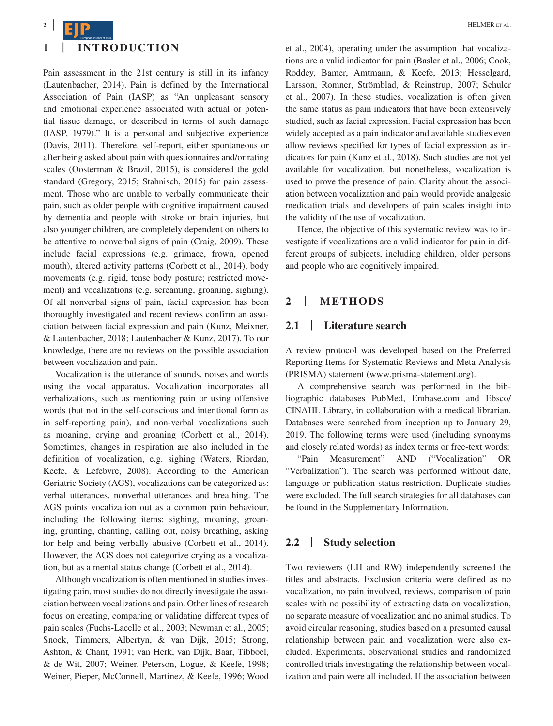

Pain assessment in the 21st century is still in its infancy (Lautenbacher, 2014). Pain is defined by the International Association of Pain (IASP) as "An unpleasant sensory and emotional experience associated with actual or potential tissue damage, or described in terms of such damage (IASP, 1979)." It is a personal and subjective experience (Davis, 2011). Therefore, self-report, either spontaneous or after being asked about pain with questionnaires and/or rating scales (Oosterman & Brazil, 2015), is considered the gold standard (Gregory, 2015; Stahnisch, 2015) for pain assessment. Those who are unable to verbally communicate their pain, such as older people with cognitive impairment caused by dementia and people with stroke or brain injuries, but also younger children, are completely dependent on others to be attentive to nonverbal signs of pain (Craig, 2009). These include facial expressions (e.g. grimace, frown, opened mouth), altered activity patterns (Corbett et al., 2014), body movements (e.g. rigid, tense body posture; restricted movement) and vocalizations (e.g. screaming, groaning, sighing). Of all nonverbal signs of pain, facial expression has been thoroughly investigated and recent reviews confirm an association between facial expression and pain (Kunz, Meixner, & Lautenbacher, 2018; Lautenbacher & Kunz, 2017). To our knowledge, there are no reviews on the possible association between vocalization and pain.

Vocalization is the utterance of sounds, noises and words using the vocal apparatus. Vocalization incorporates all verbalizations, such as mentioning pain or using offensive words (but not in the self-conscious and intentional form as in self-reporting pain), and non-verbal vocalizations such as moaning, crying and groaning (Corbett et al., 2014). Sometimes, changes in respiration are also included in the definition of vocalization, e.g. sighing (Waters, Riordan, Keefe, & Lefebvre, 2008). According to the American Geriatric Society (AGS), vocalizations can be categorized as: verbal utterances, nonverbal utterances and breathing. The AGS points vocalization out as a common pain behaviour, including the following items: sighing, moaning, groaning, grunting, chanting, calling out, noisy breathing, asking for help and being verbally abusive (Corbett et al., 2014). However, the AGS does not categorize crying as a vocalization, but as a mental status change (Corbett et al., 2014).

Although vocalization is often mentioned in studies investigating pain, most studies do not directly investigate the association between vocalizations and pain. Other lines of research focus on creating, comparing or validating different types of pain scales (Fuchs-Lacelle et al., 2003; Newman et al., 2005; Snoek, Timmers, Albertyn, & van Dijk, 2015; Strong, Ashton, & Chant, 1991; van Herk, van Dijk, Baar, Tibboel, & de Wit, 2007; Weiner, Peterson, Logue, & Keefe, 1998; Weiner, Pieper, McConnell, Martinez, & Keefe, 1996; Wood et al., 2004), operating under the assumption that vocalizations are a valid indicator for pain (Basler et al., 2006; Cook, Roddey, Bamer, Amtmann, & Keefe, 2013; Hesselgard, Larsson, Romner, Strömblad, & Reinstrup, 2007; Schuler et al., 2007). In these studies, vocalization is often given the same status as pain indicators that have been extensively studied, such as facial expression. Facial expression has been widely accepted as a pain indicator and available studies even allow reviews specified for types of facial expression as indicators for pain (Kunz et al., 2018). Such studies are not yet available for vocalization, but nonetheless, vocalization is used to prove the presence of pain. Clarity about the association between vocalization and pain would provide analgesic medication trials and developers of pain scales insight into the validity of the use of vocalization.

Hence, the objective of this systematic review was to investigate if vocalizations are a valid indicator for pain in different groups of subjects, including children, older persons and people who are cognitively impaired.

## **2** | **METHODS**

#### **2.1** | **Literature search**

A review protocol was developed based on the Preferred Reporting Items for Systematic Reviews and Meta-Analysis (PRISMA) statement [\(www.prisma-statement.org\)](http://www.prisma-statement.org).

A comprehensive search was performed in the bibliographic databases PubMed, [Embase.com](http://Embase.com) and Ebsco/ CINAHL Library, in collaboration with a medical librarian. Databases were searched from inception up to January 29, 2019. The following terms were used (including synonyms and closely related words) as index terms or free-text words:

"Pain Measurement" AND ("Vocalization" OR "Verbalization"). The search was performed without date, language or publication status restriction. Duplicate studies were excluded. The full search strategies for all databases can be found in the Supplementary Information.

## **2.2** | **Study selection**

Two reviewers (LH and RW) independently screened the titles and abstracts. Exclusion criteria were defined as no vocalization, no pain involved, reviews, comparison of pain scales with no possibility of extracting data on vocalization, no separate measure of vocalization and no animal studies. To avoid circular reasoning, studies based on a presumed causal relationship between pain and vocalization were also excluded. Experiments, observational studies and randomized controlled trials investigating the relationship between vocalization and pain were all included. If the association between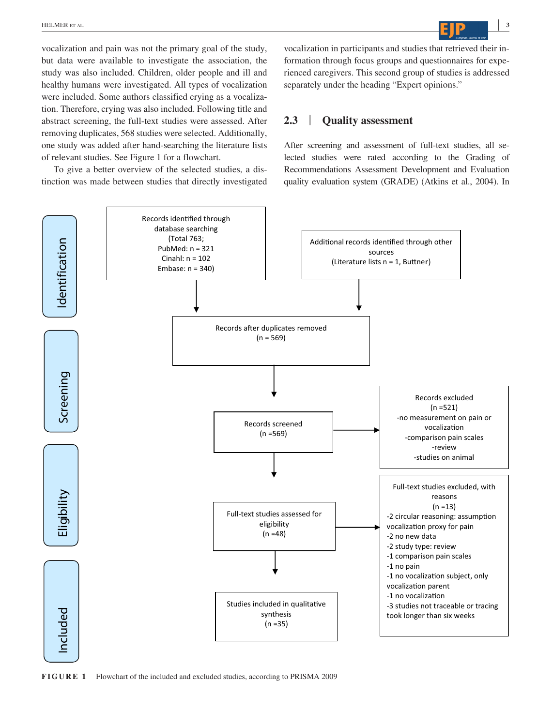**|** HELMER et al. **<sup>3</sup>**

vocalization and pain was not the primary goal of the study, but data were available to investigate the association, the study was also included. Children, older people and ill and healthy humans were investigated. All types of vocalization were included. Some authors classified crying as a vocalization. Therefore, crying was also included. Following title and abstract screening, the full-text studies were assessed. After removing duplicates, 568 studies were selected. Additionally, one study was added after hand-searching the literature lists of relevant studies. See Figure 1 for a flowchart.

To give a better overview of the selected studies, a distinction was made between studies that directly investigated vocalization in participants and studies that retrieved their information through focus groups and questionnaires for experienced caregivers. This second group of studies is addressed separately under the heading "Expert opinions."

# **2.3** | **Quality assessment**

After screening and assessment of full-text studies, all selected studies were rated according to the Grading of Recommendations Assessment Development and Evaluation quality evaluation system (GRADE) (Atkins et al., 2004). In



**FIGURE 1** Flowchart of the included and excluded studies, according to PRISMA 2009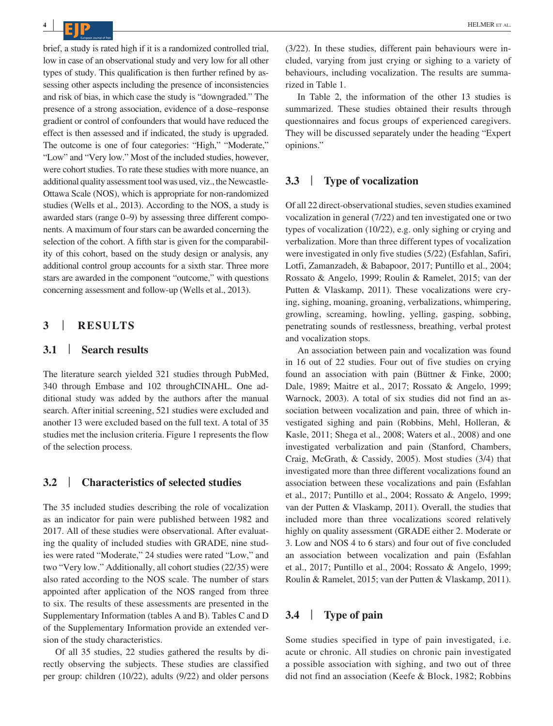brief, a study is rated high if it is a randomized controlled trial, low in case of an observational study and very low for all other types of study. This qualification is then further refined by assessing other aspects including the presence of inconsistencies and risk of bias, in which case the study is "downgraded." The presence of a strong association, evidence of a dose–response gradient or control of confounders that would have reduced the effect is then assessed and if indicated, the study is upgraded. The outcome is one of four categories: "High," "Moderate," "Low" and "Very low." Most of the included studies, however, were cohort studies. To rate these studies with more nuance, an additional quality assessment tool was used, viz., the Newcastle-Ottawa Scale (NOS), which is appropriate for non-randomized studies (Wells et al., 2013). According to the NOS, a study is awarded stars (range 0–9) by assessing three different components. A maximum of four stars can be awarded concerning the selection of the cohort. A fifth star is given for the comparability of this cohort, based on the study design or analysis, any additional control group accounts for a sixth star. Three more stars are awarded in the component "outcome," with questions concerning assessment and follow-up (Wells et al., 2013).

# **3** | **RESULTS**

# **3.1** | **Search results**

The literature search yielded 321 studies through PubMed, 340 through Embase and 102 throughCINAHL. One additional study was added by the authors after the manual search. After initial screening, 521 studies were excluded and another 13 were excluded based on the full text. A total of 35 studies met the inclusion criteria. Figure 1 represents the flow of the selection process.

## **3.2** | **Characteristics of selected studies**

The 35 included studies describing the role of vocalization as an indicator for pain were published between 1982 and 2017. All of these studies were observational. After evaluating the quality of included studies with GRADE, nine studies were rated "Moderate," 24 studies were rated "Low," and two "Very low." Additionally, all cohort studies (22/35) were also rated according to the NOS scale. The number of stars appointed after application of the NOS ranged from three to six. The results of these assessments are presented in the Supplementary Information (tables A and B). Tables C and D of the Supplementary Information provide an extended version of the study characteristics.

Of all 35 studies, 22 studies gathered the results by directly observing the subjects. These studies are classified per group: children (10/22), adults (9/22) and older persons

(3/22). In these studies, different pain behaviours were included, varying from just crying or sighing to a variety of behaviours, including vocalization. The results are summarized in Table 1.

In Table 2, the information of the other 13 studies is summarized. These studies obtained their results through questionnaires and focus groups of experienced caregivers. They will be discussed separately under the heading "Expert opinions."

# **3.3** | **Type of vocalization**

Of all 22 direct-observational studies, seven studies examined vocalization in general (7/22) and ten investigated one or two types of vocalization (10/22), e.g. only sighing or crying and verbalization. More than three different types of vocalization were investigated in only five studies (5/22) (Esfahlan, Safiri, Lotfi, Zamanzadeh, & Babapoor, 2017; Puntillo et al., 2004; Rossato & Angelo, 1999; Roulin & Ramelet, 2015; van der Putten & Vlaskamp, 2011). These vocalizations were crying, sighing, moaning, groaning, verbalizations, whimpering, growling, screaming, howling, yelling, gasping, sobbing, penetrating sounds of restlessness, breathing, verbal protest and vocalization stops.

An association between pain and vocalization was found in 16 out of 22 studies. Four out of five studies on crying found an association with pain (Büttner & Finke, 2000; Dale, 1989; Maitre et al., 2017; Rossato & Angelo, 1999; Warnock, 2003). A total of six studies did not find an association between vocalization and pain, three of which investigated sighing and pain (Robbins, Mehl, Holleran, & Kasle, 2011; Shega et al., 2008; Waters et al., 2008) and one investigated verbalization and pain (Stanford, Chambers, Craig, McGrath, & Cassidy, 2005). Most studies (3/4) that investigated more than three different vocalizations found an association between these vocalizations and pain (Esfahlan et al., 2017; Puntillo et al., 2004; Rossato & Angelo, 1999; van der Putten & Vlaskamp, 2011). Overall, the studies that included more than three vocalizations scored relatively highly on quality assessment (GRADE either 2. Moderate or 3. Low and NOS 4 to 6 stars) and four out of five concluded an association between vocalization and pain (Esfahlan et al., 2017; Puntillo et al., 2004; Rossato & Angelo, 1999; Roulin & Ramelet, 2015; van der Putten & Vlaskamp, 2011).

# **3.4** | **Type of pain**

Some studies specified in type of pain investigated, i.e. acute or chronic. All studies on chronic pain investigated a possible association with sighing, and two out of three did not find an association (Keefe & Block, 1982; Robbins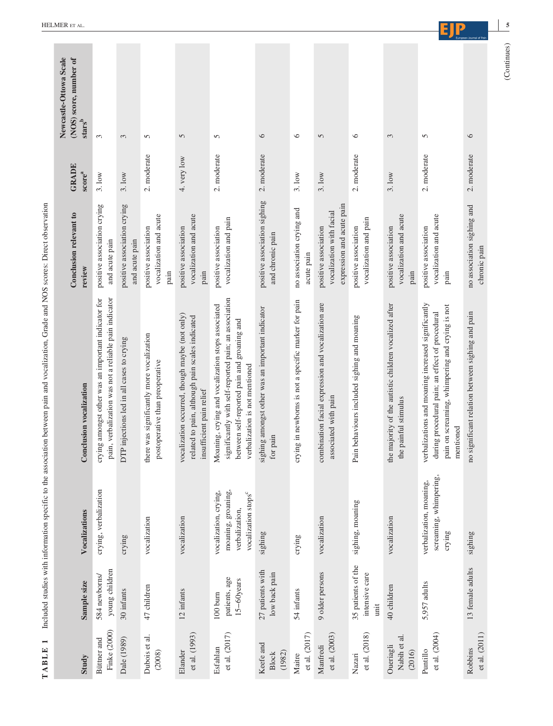| Study                               | Sample size                                  | Vocalizations                                                                                    | <b>Conclusion vocalization</b>                                                                                                                                                              | Conclusion relevant to<br>review                                              | <b>GRADE</b><br>score <sup>a</sup> | (NOS) score, number of<br>$\ensuremath{\textbf{s}}\xspace\ensuremath{\textbf{t}}\xspace\ensuremath{\textbf{a}}\xspace\ensuremath{\textbf{r}}\xspace\ensuremath{\textbf{s}}\xspace^b$ |
|-------------------------------------|----------------------------------------------|--------------------------------------------------------------------------------------------------|---------------------------------------------------------------------------------------------------------------------------------------------------------------------------------------------|-------------------------------------------------------------------------------|------------------------------------|--------------------------------------------------------------------------------------------------------------------------------------------------------------------------------------|
| Finke (2000)<br>Büttner and         | young children<br>584 newborns/              | crying, verbalization                                                                            | pain, verbalization was not a reliable pain indicator<br>crying amongst other was an important indicator for                                                                                | positive association crying<br>and acute pain                                 | 3.10w                              | 3                                                                                                                                                                                    |
| Dale (1989)                         | 30 infants                                   | crying                                                                                           | DTP injections led in all cases to crying                                                                                                                                                   | positive association crying<br>and acute pain                                 | 3.10w                              | 3                                                                                                                                                                                    |
| Dubois et al.<br>(2008)             | 47 children                                  | vocalization                                                                                     | there was significantly more vocalization<br>postoperative than preoperative                                                                                                                | vocalization and acute<br>positive association<br>pain                        | 2. moderate                        | 5                                                                                                                                                                                    |
| et al. (1993)<br>Elander            | 12 infants                                   | vocalization                                                                                     | vocalization occurred, though maybe (not only)<br>related to pain, although pain scales indicated<br>insufficient pain relief                                                               | vocalization and acute<br>positive association<br>pain                        | 4. very low                        | $\overline{5}$                                                                                                                                                                       |
| et al. (2017)<br>Esfahlan           | patients, age<br>$15 - 60$ years<br>100 burn | moaning, groaning,<br>vocalization, crying,<br>vocalization stops <sup>c</sup><br>verbalization, | significantly with self-reported pain; an association<br>Moaning, crying and vocalization stops associated<br>between self-reported pain and groaning and<br>verbalization is not mentioned | vocalization and pain<br>positive association                                 | 2. moderate                        | 5                                                                                                                                                                                    |
| Keefe and<br>(1982)<br><b>Block</b> | 27 patients with<br>low back pain            | sighing                                                                                          | sighing amongst other was an important indicator<br>for pain                                                                                                                                | positive association sighing<br>and chronic pain                              | 2. moderate                        | 6                                                                                                                                                                                    |
| et al. (2017)<br>Maitre             | 54 infants                                   | crying                                                                                           | crying in newborns is not a specific marker for pain                                                                                                                                        | no association crying and<br>acute pain                                       | 3.10w                              | $\circ$                                                                                                                                                                              |
| et al. (2003)<br>Manfredi           | 9 older persons                              | vocalization                                                                                     | combination facial expression and vocalization are<br>associated with pain                                                                                                                  | expression and acute pain<br>vocalization with facial<br>positive association | 3.10w                              | 5                                                                                                                                                                                    |
| et al. (2018)<br>Nazari             | 35 patients of the<br>intensive care<br>unit | sighing, moaning                                                                                 | Pain behaviours included sighing and moaning                                                                                                                                                | vocalization and pain<br>positive association                                 | 2. moderate                        | $\circ$                                                                                                                                                                              |
| Nabih et al.<br>Oueriagli<br>(2016) | 40 children                                  | vocalization                                                                                     | the majority of the autistic children vocalized after<br>the painful stimulus                                                                                                               | vocalization and acute<br>positive association<br>pain                        | 3.10w                              | 3                                                                                                                                                                                    |
| et al. (2004)<br>Puntillo           | 5,957 adults                                 | screaming, whimpering,<br>verbalization, moaning,<br>crying                                      | verbalizations and moaning increased significantly<br>pain on screaming, whimpering and crying is not<br>during procedural pain; an effect of procedural<br>mentioned                       | vocalization and acute<br>positive association<br>pain                        | 2. moderate                        | 5                                                                                                                                                                                    |
| et al. (2011)<br>Robbins            | 13 female adults                             | sighing                                                                                          | no significant relation between sighing and pain                                                                                                                                            | no association sighing and<br>chronic pain                                    | 2. moderate                        | $\circ$                                                                                                                                                                              |

TABLE 1 Included studies with information specific to the association between pain and vocalization, Grade and NOS scores: Direct observation **TABLE 1** Included studies with information specific to the association between pain and vocalization, Grade and NOS scores: Direct observation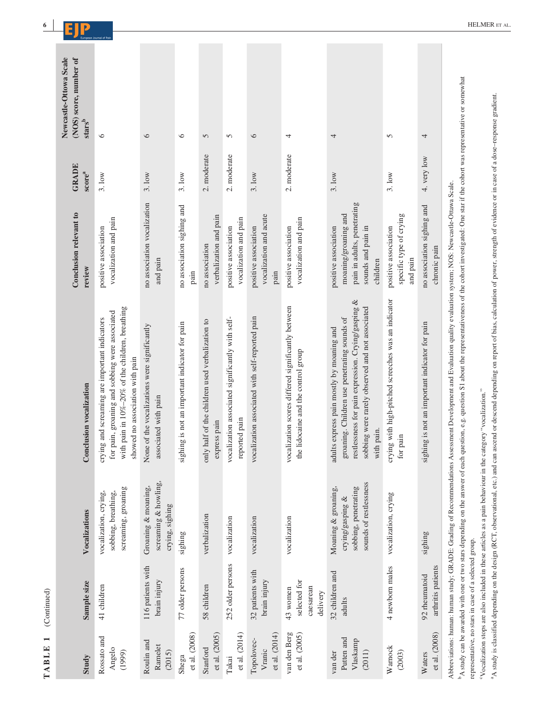| Study                                       | Sample size                                           | Vocalizations                                                                             | <b>Conclusion vocalization</b>                                                                                                                                                                                                                                                                                                                                                               | Conclusion relevant to<br>review                                                                              | <b>GRADE</b><br>score <sup>a</sup> | Newcastle-Ottowa Scale<br>(NOS) score, number of<br>${\bf stars}^{\bf b}$ |
|---------------------------------------------|-------------------------------------------------------|-------------------------------------------------------------------------------------------|----------------------------------------------------------------------------------------------------------------------------------------------------------------------------------------------------------------------------------------------------------------------------------------------------------------------------------------------------------------------------------------------|---------------------------------------------------------------------------------------------------------------|------------------------------------|---------------------------------------------------------------------------|
| Rossato and<br>Angelo<br>(1999)             | 41 children                                           | screaming, groaning<br>vocalization, crying,<br>sobbing, breathing,                       | with pain in 10%-20% of the children, breathing<br>for pain, groaning and sobbing were associated<br>crying and screaming are important indicators<br>showed no association with pain                                                                                                                                                                                                        | vocalization and pain<br>positive association                                                                 | 3.10w                              | 6                                                                         |
| Roulin and<br>Ramelet<br>(2015)             | 116 patients with<br>brain injury                     | screaming & howling,<br>Groaning & moaning,<br>crying, sighing                            | None of the vocalizations were significantly<br>associated with pain                                                                                                                                                                                                                                                                                                                         | no association vocalization<br>and pain                                                                       | 3.10w                              | $\circ$                                                                   |
| et al. (2008)<br>Shega                      | 77 older persons                                      | sighing                                                                                   | sighing is not an important indicator for pain                                                                                                                                                                                                                                                                                                                                               | no association sighing and<br>pain                                                                            | 3.10w                              | $\circ$                                                                   |
| et al. (2005)<br>Stanford                   | 58 children                                           | verbalization                                                                             | only half of the children used verbalization to<br>express pain                                                                                                                                                                                                                                                                                                                              | verbalization and pain<br>no association                                                                      | 2. moderate                        | 5                                                                         |
| et al. (2014)<br>Takai                      | 252 older persons                                     | vocalization                                                                              | vocalization associated significantly with self-<br>reported pain                                                                                                                                                                                                                                                                                                                            | vocalization and pain<br>positive association                                                                 | 2. moderate                        | 5                                                                         |
| et al. (2014)<br>Topolovec-<br>Vranic       | 32 patients with<br>brain injury                      | vocalization                                                                              | vocalization associated with self-reported pain                                                                                                                                                                                                                                                                                                                                              | vocalization and acute<br>positive association<br>pain                                                        | 3.10w                              | $\circ$                                                                   |
| van den Berg<br>et al. (2005)               | selected for<br>caesarean<br>43 women<br>delivery     | vocalization                                                                              | vocalization scores differed significantly between<br>the lidocaine and the control group                                                                                                                                                                                                                                                                                                    | vocalization and pain<br>positive association                                                                 | 2. moderate                        | 4                                                                         |
| Putten and<br>Vlaskamp<br>van der<br>(2011) | 32 children and<br>adults                             | sounds of restlessness<br>Moaning & groaning,<br>sobbing, penetrating<br>crying/gasping & | restlessness for pain expression. Crying/gasping &<br>sobbing were rarely observed and not associated<br>groaning. Children use penetrating sounds of<br>adults express pain mostly by moaning and<br>with pain.                                                                                                                                                                             | pain in adults, penetrating<br>moaning/groaning and<br>positive association<br>sounds and pain in<br>children | 3.10W                              | 4                                                                         |
| Warnock<br>(2003)                           | 4 newborn males                                       | vocalization, crying                                                                      | crying with high-pitched screeches was an indicator<br>for pain                                                                                                                                                                                                                                                                                                                              | specific type of crying<br>positive association<br>and pain                                                   | 3.1 <sub>ow</sub>                  | 5                                                                         |
| et al. (2008)<br>Waters                     | arthritis patients<br>92 rheumatoid                   | sighing                                                                                   | sighing is not an important indicator for pain                                                                                                                                                                                                                                                                                                                                               | no association sighing and<br>chronic pain                                                                    | 4. very low                        | 4                                                                         |
|                                             | representative, no stars in case of a selected group. |                                                                                           | A study can be awarded with one or two stars depending on the answer of each question, e.g. question S1 about the representativeness of the cohort investigated: One star if the cohort was representative or somewhat<br>Abbreviations: human: human study; GRADE: Grading of Recommendations Assessment Development and Evaluation quality evaluation system; NOS: Newcastle-Ottawa Scale. |                                                                                                               |                                    |                                                                           |

"Vocalization stops are also included in these articles as a pain behaviour in the category "vocalization." cVocalization stops are also included in these articles as a pain behaviour in the category "vocalization."

<sup>a</sup>A study is classified depending on the design (RCT, observational, etc.) and can ascend of escend depending on report of bias, calculation of power, strength of evidence or in case of a dose-response gradient. A study is classified depending on the design (RCT, observational, etc.) and can ascend or descend depending on report of bias, calculation of power, strength of evidence or in case of a dose–response gradient.

**TABLE 1** (Continued)

TABLE 1 (Continued)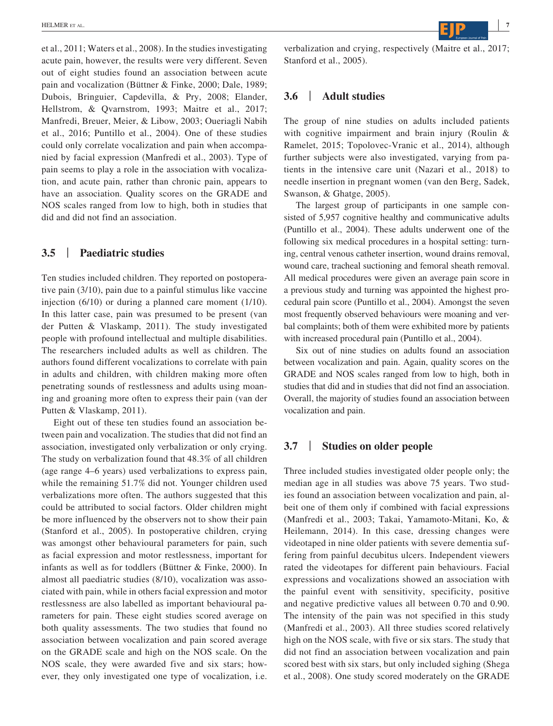et al., 2011; Waters et al., 2008). In the studies investigating acute pain, however, the results were very different. Seven out of eight studies found an association between acute pain and vocalization (Büttner & Finke, 2000; Dale, 1989; Dubois, Bringuier, Capdevilla, & Pry, 2008; Elander, Hellstrom, & Qvarnstrom, 1993; Maitre et al., 2017; Manfredi, Breuer, Meier, & Libow, 2003; Oueriagli Nabih et al., 2016; Puntillo et al., 2004). One of these studies could only correlate vocalization and pain when accompanied by facial expression (Manfredi et al., 2003). Type of pain seems to play a role in the association with vocalization, and acute pain, rather than chronic pain, appears to have an association. Quality scores on the GRADE and NOS scales ranged from low to high, both in studies that did and did not find an association.

## **3.5** | **Paediatric studies**

Ten studies included children. They reported on postoperative pain (3/10), pain due to a painful stimulus like vaccine injection (6/10) or during a planned care moment (1/10). In this latter case, pain was presumed to be present (van der Putten & Vlaskamp, 2011). The study investigated people with profound intellectual and multiple disabilities. The researchers included adults as well as children. The authors found different vocalizations to correlate with pain in adults and children, with children making more often penetrating sounds of restlessness and adults using moaning and groaning more often to express their pain (van der Putten & Vlaskamp, 2011).

Eight out of these ten studies found an association between pain and vocalization. The studies that did not find an association, investigated only verbalization or only crying. The study on verbalization found that 48.3% of all children (age range 4–6 years) used verbalizations to express pain, while the remaining 51.7% did not. Younger children used verbalizations more often. The authors suggested that this could be attributed to social factors. Older children might be more influenced by the observers not to show their pain (Stanford et al., 2005). In postoperative children, crying was amongst other behavioural parameters for pain, such as facial expression and motor restlessness, important for infants as well as for toddlers (Büttner & Finke, 2000). In almost all paediatric studies (8/10), vocalization was associated with pain, while in others facial expression and motor restlessness are also labelled as important behavioural parameters for pain. These eight studies scored average on both quality assessments. The two studies that found no association between vocalization and pain scored average on the GRADE scale and high on the NOS scale. On the NOS scale, they were awarded five and six stars; however, they only investigated one type of vocalization, i.e.

 **|** HELMER et al. **<sup>7</sup>**

verbalization and crying, respectively (Maitre et al., 2017; Stanford et al., 2005).

# **3.6** | **Adult studies**

The group of nine studies on adults included patients with cognitive impairment and brain injury (Roulin & Ramelet, 2015; Topolovec-Vranic et al., 2014), although further subjects were also investigated, varying from patients in the intensive care unit (Nazari et al., 2018) to needle insertion in pregnant women (van den Berg, Sadek, Swanson, & Ghatge, 2005).

The largest group of participants in one sample consisted of 5,957 cognitive healthy and communicative adults (Puntillo et al., 2004). These adults underwent one of the following six medical procedures in a hospital setting: turning, central venous catheter insertion, wound drains removal, wound care, tracheal suctioning and femoral sheath removal. All medical procedures were given an average pain score in a previous study and turning was appointed the highest procedural pain score (Puntillo et al., 2004). Amongst the seven most frequently observed behaviours were moaning and verbal complaints; both of them were exhibited more by patients with increased procedural pain (Puntillo et al., 2004).

Six out of nine studies on adults found an association between vocalization and pain. Again, quality scores on the GRADE and NOS scales ranged from low to high, both in studies that did and in studies that did not find an association. Overall, the majority of studies found an association between vocalization and pain.

# **3.7** | **Studies on older people**

Three included studies investigated older people only; the median age in all studies was above 75 years. Two studies found an association between vocalization and pain, albeit one of them only if combined with facial expressions (Manfredi et al., 2003; Takai, Yamamoto-Mitani, Ko, & Heilemann, 2014). In this case, dressing changes were videotaped in nine older patients with severe dementia suffering from painful decubitus ulcers. Independent viewers rated the videotapes for different pain behaviours. Facial expressions and vocalizations showed an association with the painful event with sensitivity, specificity, positive and negative predictive values all between 0.70 and 0.90. The intensity of the pain was not specified in this study (Manfredi et al., 2003). All three studies scored relatively high on the NOS scale, with five or six stars. The study that did not find an association between vocalization and pain scored best with six stars, but only included sighing (Shega et al., 2008). One study scored moderately on the GRADE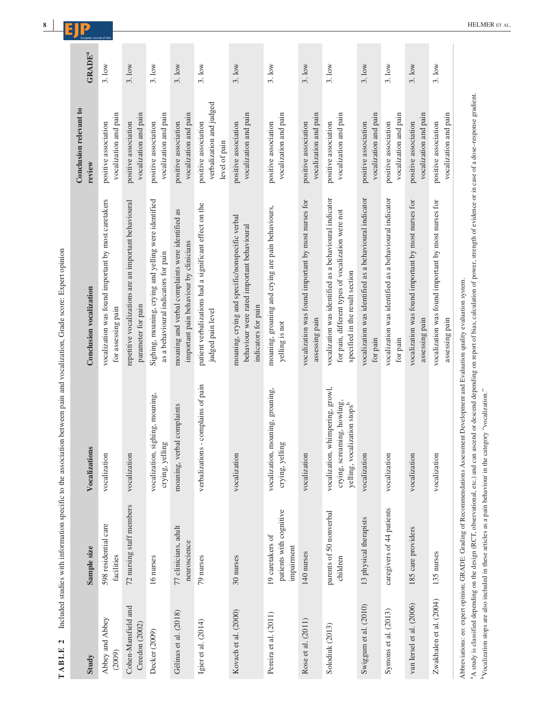| Study                                 | Sample size                                               | Vocalizations                                                                                                                         | Conclusion vocalization                                                                                                                         | Conclusion relevant to<br>review                                  | <b>GRADE</b> <sup>a</sup> |
|---------------------------------------|-----------------------------------------------------------|---------------------------------------------------------------------------------------------------------------------------------------|-------------------------------------------------------------------------------------------------------------------------------------------------|-------------------------------------------------------------------|---------------------------|
| Abbey and Abbey<br>(2009)             | 598 residential care<br>facilities                        | vocalization                                                                                                                          | vocalization was found important by most caretakers<br>for assessing pain                                                                       | vocalization and pain<br>positive association                     | 3.10w                     |
| Cohen-Mansfield and<br>Creedon (2002) | 72 nursing staff members                                  | vocalization                                                                                                                          | repetitive vocalizations are an important behavioural<br>parameter for pain                                                                     | vocalization and pain<br>positive association                     | 3.10w                     |
| Decker (2009)                         | 16 nurses                                                 | vocalization, sighing, moaning,<br>crying, yelling                                                                                    | Sighing, moaning, crying and yelling were identified<br>as a behavioural indicators for pain                                                    | vocalization and pain<br>positive association                     | 3.10w                     |
| Gélinas et al. (2018)                 | 77 clinicians, adult<br>neuroscience                      | moaning, verbal complaints                                                                                                            | moaning and verbal complaints were identified as<br>important pain behaviour by clinicians                                                      | vocalization and pain<br>positive association                     | 3.10w                     |
| Igier et al. $(2014)$                 | 79 nurses                                                 | verbalizations - complains of pain                                                                                                    | patient verbalizations had a significant effect on the<br>judged pain level                                                                     | verbalization and judged<br>positive association<br>level of pain | 3.10w                     |
| Kovach et al. (2000)                  | 30 nurses                                                 | vocalization                                                                                                                          | moaning, crying and specific/nonspecific verbal<br>behaviour were rated important behavioural<br>indicators for pain                            | vocalization and pain<br>positive association                     | 3.10w                     |
| Pereira et al. (2011)                 | patients with cognitive<br>19 caretakers of<br>impairment | vocalization, moaning, groaning,<br>crying, yelling                                                                                   | moaning, groaning and crying are pain behaviours,<br>yelling is not                                                                             | vocalization and pain<br>positive association                     | 3.1 <sub>ow</sub>         |
| Rose et al. (2011)                    | 140 nurses                                                | vocalization                                                                                                                          | vocalization was found important by most nurses for<br>assessing pain                                                                           | vocalization and pain<br>positive association                     | 3.1 <sub>ow</sub>         |
| Solodiuk (2013)                       | parents of 50 nonverbal<br>children                       | vocalization, whimpering, growl,<br>crying, screaming, howling,<br>yelling, vocalization stops <sup>b</sup>                           | vocalization was identified as a behavioural indicator<br>for pain, different types of vocalization were not<br>specified in the result section | vocalization and pain<br>positive association                     | 3.10w                     |
| Swiggum et al. (2010)                 | 13 physical therapists                                    | vocalization                                                                                                                          | vocalization was identified as a behavioural indicator<br>for pain                                                                              | vocalization and pain<br>positive association                     | 3.10W                     |
| Symons et al. (2013)                  | caregivers of 44 patients                                 | vocalization                                                                                                                          | vocalization was identified as a behavioural indicator<br>for pain                                                                              | vocalization and pain<br>positive association                     | 3.10w                     |
| van Iersel et al. (2006)              | 185 care providers                                        | vocalization                                                                                                                          | vocalization was found important by most nurses for<br>assessing pain                                                                           | vocalization and pain<br>positive association                     | 3.10w                     |
| Zwakhalen et al. (2004)               | 135 nurses                                                | vocalization                                                                                                                          | vocalization was found important by most nurses for<br>assessing pain                                                                           | vocalization and pain<br>positive association                     | 3.10w                     |
|                                       |                                                           | Abbreviations: eo: expert opinion; GRADE: Grading of Recommendations Assessment Development and Evaluation quality evaluation system. |                                                                                                                                                 |                                                                   |                           |

**8 |**

a study is classified depending on the design (RCT, observational, etc.) and can ascend or descend depending on report of bias, calculation of power, strength of evidence or in case of a dose-response gradient.<br>b ocalizati A study is classified depending on the design (RCT, observational, etc.) and can ascend or descend depending on report of bias, calculation of power, strength of evidence or in case of a dose–response gradient. bVocalization stops are also included in these articles as a pain behaviour in the category "vocalization."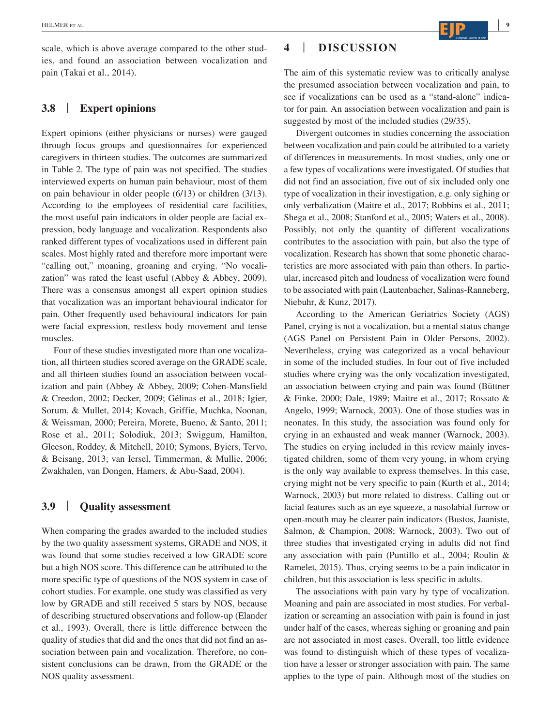scale, which is above average compared to the other studies, and found an association between vocalization and pain (Takai et al., 2014).

## **3.8** | **Expert opinions**

Expert opinions (either physicians or nurses) were gauged through focus groups and questionnaires for experienced caregivers in thirteen studies. The outcomes are summarized in Table 2. The type of pain was not specified. The studies interviewed experts on human pain behaviour, most of them on pain behaviour in older people (6/13) or children (3/13). According to the employees of residential care facilities, the most useful pain indicators in older people are facial expression, body language and vocalization. Respondents also ranked different types of vocalizations used in different pain scales. Most highly rated and therefore more important were "calling out," moaning, groaning and crying. "No vocalization" was rated the least useful (Abbey & Abbey, 2009). There was a consensus amongst all expert opinion studies that vocalization was an important behavioural indicator for pain. Other frequently used behavioural indicators for pain were facial expression, restless body movement and tense muscles.

Four of these studies investigated more than one vocalization, all thirteen studies scored average on the GRADE scale, and all thirteen studies found an association between vocalization and pain (Abbey & Abbey, 2009; Cohen-Mansfield & Creedon, 2002; Decker, 2009; Gélinas et al., 2018; Igier, Sorum, & Mullet, 2014; Kovach, Griffie, Muchka, Noonan, & Weissman, 2000; Pereira, Morete, Bueno, & Santo, 2011; Rose et al., 2011; Solodiuk, 2013; Swiggum, Hamilton, Gleeson, Roddey, & Mitchell, 2010; Symons, Byiers, Tervo, & Beisang, 2013; van Iersel, Timmerman, & Mullie, 2006; Zwakhalen, van Dongen, Hamers, & Abu-Saad, 2004).

# **3.9** | **Quality assessment**

When comparing the grades awarded to the included studies by the two quality assessment systems, GRADE and NOS, it was found that some studies received a low GRADE score but a high NOS score. This difference can be attributed to the more specific type of questions of the NOS system in case of cohort studies. For example, one study was classified as very low by GRADE and still received 5 stars by NOS, because of describing structured observations and follow-up (Elander et al., 1993). Overall, there is little difference between the quality of studies that did and the ones that did not find an association between pain and vocalization. Therefore, no consistent conclusions can be drawn, from the GRADE or the NOS quality assessment.

## **4** | **DISCUSSION**

The aim of this systematic review was to critically analyse the presumed association between vocalization and pain, to see if vocalizations can be used as a "stand-alone" indicator for pain. An association between vocalization and pain is suggested by most of the included studies (29/35).

Divergent outcomes in studies concerning the association between vocalization and pain could be attributed to a variety of differences in measurements. In most studies, only one or a few types of vocalizations were investigated. Of studies that did not find an association, five out of six included only one type of vocalization in their investigation, e.g. only sighing or only verbalization (Maitre et al., 2017; Robbins et al., 2011; Shega et al., 2008; Stanford et al., 2005; Waters et al., 2008). Possibly, not only the quantity of different vocalizations contributes to the association with pain, but also the type of vocalization. Research has shown that some phonetic characteristics are more associated with pain than others. In particular, increased pitch and loudness of vocalization were found to be associated with pain (Lautenbacher, Salinas-Ranneberg, Niebuhr, & Kunz, 2017).

According to the American Geriatrics Society (AGS) Panel, crying is not a vocalization, but a mental status change (AGS Panel on Persistent Pain in Older Persons, 2002). Nevertheless, crying was categorized as a vocal behaviour in some of the included studies. In four out of five included studies where crying was the only vocalization investigated, an association between crying and pain was found (Büttner & Finke, 2000; Dale, 1989; Maitre et al., 2017; Rossato & Angelo, 1999; Warnock, 2003). One of those studies was in neonates. In this study, the association was found only for crying in an exhausted and weak manner (Warnock, 2003). The studies on crying included in this review mainly investigated children, some of them very young, in whom crying is the only way available to express themselves. In this case, crying might not be very specific to pain (Kurth et al., 2014; Warnock, 2003) but more related to distress. Calling out or facial features such as an eye squeeze, a nasolabial furrow or open-mouth may be clearer pain indicators (Bustos, Jaaniste, Salmon, & Champion, 2008; Warnock, 2003). Two out of three studies that investigated crying in adults did not find any association with pain (Puntillo et al., 2004; Roulin & Ramelet, 2015). Thus, crying seems to be a pain indicator in children, but this association is less specific in adults.

The associations with pain vary by type of vocalization. Moaning and pain are associated in most studies. For verbalization or screaming an association with pain is found in just under half of the cases, whereas sighing or groaning and pain are not associated in most cases. Overall, too little evidence was found to distinguish which of these types of vocalization have a lesser or stronger association with pain. The same applies to the type of pain. Although most of the studies on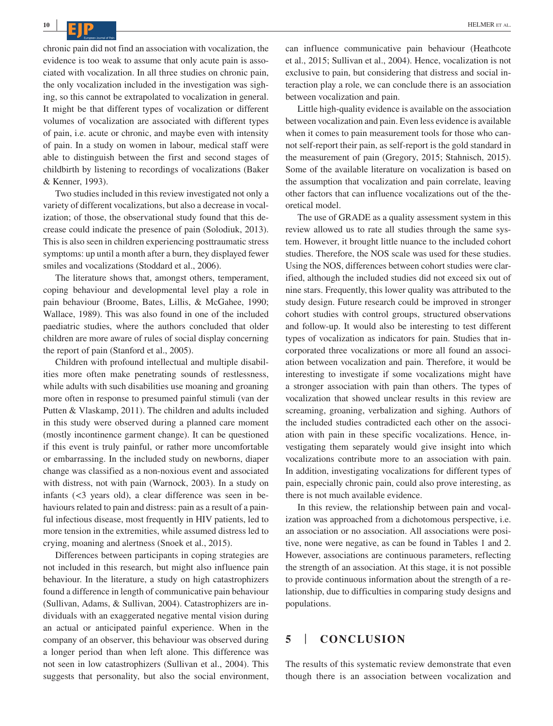chronic pain did not find an association with vocalization, the evidence is too weak to assume that only acute pain is associated with vocalization. In all three studies on chronic pain, the only vocalization included in the investigation was sighing, so this cannot be extrapolated to vocalization in general. It might be that different types of vocalization or different volumes of vocalization are associated with different types of pain, i.e. acute or chronic, and maybe even with intensity of pain. In a study on women in labour, medical staff were able to distinguish between the first and second stages of childbirth by listening to recordings of vocalizations (Baker & Kenner, 1993).

Two studies included in this review investigated not only a variety of different vocalizations, but also a decrease in vocalization; of those, the observational study found that this decrease could indicate the presence of pain (Solodiuk, 2013). This is also seen in children experiencing posttraumatic stress symptoms: up until a month after a burn, they displayed fewer smiles and vocalizations (Stoddard et al., 2006).

The literature shows that, amongst others, temperament, coping behaviour and developmental level play a role in pain behaviour (Broome, Bates, Lillis, & McGahee, 1990; Wallace, 1989). This was also found in one of the included paediatric studies, where the authors concluded that older children are more aware of rules of social display concerning the report of pain (Stanford et al., 2005).

Children with profound intellectual and multiple disabilities more often make penetrating sounds of restlessness, while adults with such disabilities use moaning and groaning more often in response to presumed painful stimuli (van der Putten & Vlaskamp, 2011). The children and adults included in this study were observed during a planned care moment (mostly incontinence garment change). It can be questioned if this event is truly painful, or rather more uncomfortable or embarrassing. In the included study on newborns, diaper change was classified as a non-noxious event and associated with distress, not with pain (Warnock, 2003). In a study on infants (<3 years old), a clear difference was seen in behaviours related to pain and distress: pain as a result of a painful infectious disease, most frequently in HIV patients, led to more tension in the extremities, while assumed distress led to crying, moaning and alertness (Snoek et al., 2015).

Differences between participants in coping strategies are not included in this research, but might also influence pain behaviour. In the literature, a study on high catastrophizers found a difference in length of communicative pain behaviour (Sullivan, Adams, & Sullivan, 2004). Catastrophizers are individuals with an exaggerated negative mental vision during an actual or anticipated painful experience. When in the company of an observer, this behaviour was observed during a longer period than when left alone. This difference was not seen in low catastrophizers (Sullivan et al., 2004). This suggests that personality, but also the social environment, can influence communicative pain behaviour (Heathcote et al., 2015; Sullivan et al., 2004). Hence, vocalization is not exclusive to pain, but considering that distress and social interaction play a role, we can conclude there is an association between vocalization and pain.

Little high-quality evidence is available on the association between vocalization and pain. Even less evidence is available when it comes to pain measurement tools for those who cannot self-report their pain, as self-report is the gold standard in the measurement of pain (Gregory, 2015; Stahnisch, 2015). Some of the available literature on vocalization is based on the assumption that vocalization and pain correlate, leaving other factors that can influence vocalizations out of the theoretical model.

The use of GRADE as a quality assessment system in this review allowed us to rate all studies through the same system. However, it brought little nuance to the included cohort studies. Therefore, the NOS scale was used for these studies. Using the NOS, differences between cohort studies were clarified, although the included studies did not exceed six out of nine stars. Frequently, this lower quality was attributed to the study design. Future research could be improved in stronger cohort studies with control groups, structured observations and follow-up. It would also be interesting to test different types of vocalization as indicators for pain. Studies that incorporated three vocalizations or more all found an association between vocalization and pain. Therefore, it would be interesting to investigate if some vocalizations might have a stronger association with pain than others. The types of vocalization that showed unclear results in this review are screaming, groaning, verbalization and sighing. Authors of the included studies contradicted each other on the association with pain in these specific vocalizations. Hence, investigating them separately would give insight into which vocalizations contribute more to an association with pain. In addition, investigating vocalizations for different types of pain, especially chronic pain, could also prove interesting, as there is not much available evidence.

In this review, the relationship between pain and vocalization was approached from a dichotomous perspective, i.e. an association or no association. All associations were positive, none were negative, as can be found in Tables 1 and 2. However, associations are continuous parameters, reflecting the strength of an association. At this stage, it is not possible to provide continuous information about the strength of a relationship, due to difficulties in comparing study designs and populations.

## **5** | **CONCLUSION**

The results of this systematic review demonstrate that even though there is an association between vocalization and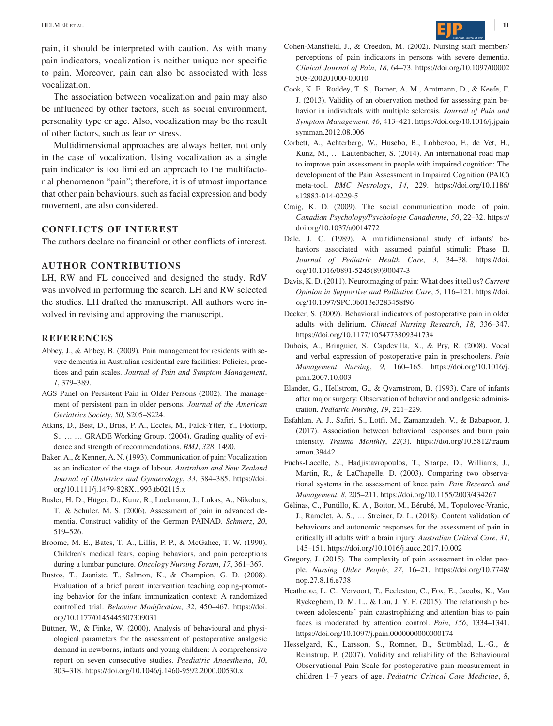pain, it should be interpreted with caution. As with many pain indicators, vocalization is neither unique nor specific to pain. Moreover, pain can also be associated with less vocalization.

The association between vocalization and pain may also be influenced by other factors, such as social environment, personality type or age. Also, vocalization may be the result of other factors, such as fear or stress.

Multidimensional approaches are always better, not only in the case of vocalization. Using vocalization as a single pain indicator is too limited an approach to the multifactorial phenomenon "pain"; therefore, it is of utmost importance that other pain behaviours, such as facial expression and body movement, are also considered.

#### **CONFLICTS OF INTEREST**

The authors declare no financial or other conflicts of interest.

#### **AUTHOR CONTRIBUTIONS**

LH, RW and FL conceived and designed the study. RdV was involved in performing the search. LH and RW selected the studies. LH drafted the manuscript. All authors were involved in revising and approving the manuscript.

#### **REFERENCES**

- Abbey, J., & Abbey, B. (2009). Pain management for residents with severe dementia in Australian residential care facilities: Policies, practices and pain scales. *Journal of Pain and Symptom Management*, *1*, 379–389.
- AGS Panel on Persistent Pain in Older Persons (2002). The management of persistent pain in older persons. *Journal of the American Geriatrics Society*, *50*, S205–S224.
- Atkins, D., Best, D., Briss, P. A., Eccles, M., Falck-Ytter, Y., Flottorp, S., … … GRADE Working Group. (2004). Grading quality of evidence and strength of recommendations. *BMJ*, *328*, 1490.
- Baker, A., & Kenner, A. N. (1993). Communication of pain: Vocalization as an indicator of the stage of labour. *Australian and New Zealand Journal of Obstetrics and Gynaecology*, *33*, 384–385. [https://doi.](https://doi.org/10.1111/j.1479-828X.1993.tb02115.x) [org/10.1111/j.1479-828X.1993.tb02115.x](https://doi.org/10.1111/j.1479-828X.1993.tb02115.x)
- Basler, H. D., Hüger, D., Kunz, R., Luckmann, J., Lukas, A., Nikolaus, T., & Schuler, M. S. (2006). Assessment of pain in advanced dementia. Construct validity of the German PAINAD. *Schmerz*, *20*, 519–526.
- Broome, M. E., Bates, T. A., Lillis, P. P., & McGahee, T. W. (1990). Children's medical fears, coping behaviors, and pain perceptions during a lumbar puncture. *Oncology Nursing Forum*, *17*, 361–367.
- Bustos, T., Jaaniste, T., Salmon, K., & Champion, G. D. (2008). Evaluation of a brief parent intervention teaching coping-promoting behavior for the infant immunization context: A randomized controlled trial. *Behavior Modification*, *32*, 450–467. [https://doi.](https://doi.org/10.1177/0145445507309031) [org/10.1177/0145445507309031](https://doi.org/10.1177/0145445507309031)
- Büttner, W., & Finke, W. (2000). Analysis of behavioural and physiological parameters for the assessment of postoperative analgesic demand in newborns, infants and young children: A comprehensive report on seven consecutive studies. *Paediatric Anaesthesia*, *10*, 303–318. <https://doi.org/10.1046/j.1460-9592.2000.00530.x>
- Cohen-Mansfield, J., & Creedon, M. (2002). Nursing staff members' perceptions of pain indicators in persons with severe dementia. *Clinical Journal of Pain*, *18*, 64–73. [https://doi.org/10.1097/00002](https://doi.org/10.1097/00002508-200201000-00010) [508-200201000-00010](https://doi.org/10.1097/00002508-200201000-00010)
- Cook, K. F., Roddey, T. S., Bamer, A. M., Amtmann, D., & Keefe, F. J. (2013). Validity of an observation method for assessing pain behavior in individuals with multiple sclerosis. *Journal of Pain and Symptom Management*, *46*, 413–421. [https://doi.org/10.1016/j.jpain](https://doi.org/10.1016/j.jpainsymman.2012.08.006) [symman.2012.08.006](https://doi.org/10.1016/j.jpainsymman.2012.08.006)
- Corbett, A., Achterberg, W., Husebo, B., Lobbezoo, F., de Vet, H., Kunz, M., … Lautenbacher, S. (2014). An international road map to improve pain assessment in people with impaired cognition: The development of the Pain Assessment in Impaired Cognition (PAIC) meta-tool. *BMC Neurology*, *14*, 229. [https://doi.org/10.1186/](https://doi.org/10.1186/s12883-014-0229-5) [s12883-014-0229-5](https://doi.org/10.1186/s12883-014-0229-5)
- Craig, K. D. (2009). The social communication model of pain. *Canadian Psychology/Psychologie Canadienne*, *50*, 22–32. [https://](https://doi.org/10.1037/a0014772) [doi.org/10.1037/a0014772](https://doi.org/10.1037/a0014772)
- Dale, J. C. (1989). A multidimensional study of infants' behaviors associated with assumed painful stimuli: Phase II. *Journal of Pediatric Health Care*, *3*, 34–38. [https://doi.](https://doi.org/10.1016/0891-5245(89)90047-3) [org/10.1016/0891-5245\(89\)90047-3](https://doi.org/10.1016/0891-5245(89)90047-3)
- Davis, K. D. (2011). Neuroimaging of pain: What does it tell us? *Current Opinion in Supportive and Palliative Care*, *5*, 116–121. [https://doi.](https://doi.org/10.1097/SPC.0b013e3283458f96) [org/10.1097/SPC.0b013e3283458f96](https://doi.org/10.1097/SPC.0b013e3283458f96)
- Decker, S. (2009). Behavioral indicators of postoperative pain in older adults with delirium. *Clinical Nursing Research*, *18*, 336–347. <https://doi.org/10.1177/1054773809341734>
- Dubois, A., Bringuier, S., Capdevilla, X., & Pry, R. (2008). Vocal and verbal expression of postoperative pain in preschoolers. *Pain Management Nursing*, *9*, 160–165. [https://doi.org/10.1016/j.](https://doi.org/10.1016/j.pmn.2007.10.003) [pmn.2007.10.003](https://doi.org/10.1016/j.pmn.2007.10.003)
- Elander, G., Hellstrom, G., & Qvarnstrom, B. (1993). Care of infants after major surgery: Observation of behavior and analgesic administration. *Pediatric Nursing*, *19*, 221–229.
- Esfahlan, A. J., Safiri, S., Lotfi, M., Zamanzadeh, V., & Babapoor, J. (2017). Association between behavioral responses and burn pain intensity. *Trauma Monthly*, *22*(3). [https://doi.org/10.5812/traum](https://doi.org/10.5812/traumamon.39442) [amon.39442](https://doi.org/10.5812/traumamon.39442)
- Fuchs-Lacelle, S., Hadjistavropoulos, T., Sharpe, D., Williams, J., Martin, R., & LaChapelle, D. (2003). Comparing two observational systems in the assessment of knee pain. *Pain Research and Management*, *8*, 205–211. <https://doi.org/10.1155/2003/434267>
- Gélinas, C., Puntillo, K. A., Boitor, M., Bérubé, M., Topolovec-Vranic, J., Ramelet, A. S., … Streiner, D. L. (2018). Content validation of behaviours and autonomic responses for the assessment of pain in critically ill adults with a brain injury. *Australian Critical Care*, *31*, 145–151. <https://doi.org/10.1016/j.aucc.2017.10.002>
- Gregory, J. (2015). The complexity of pain assessment in older people. *Nursing Older People*, *27*, 16–21. [https://doi.org/10.7748/](https://doi.org/10.7748/nop.27.8.16.e738) [nop.27.8.16.e738](https://doi.org/10.7748/nop.27.8.16.e738)
- Heathcote, L. C., Vervoort, T., Eccleston, C., Fox, E., Jacobs, K., Van Ryckeghem, D. M. L., & Lau, J. Y. F. (2015). The relationship between adolescents' pain catastrophizing and attention bias to pain faces is moderated by attention control. *Pain*, *156*, 1334–1341. <https://doi.org/10.1097/j.pain.0000000000000174>
- Hesselgard, K., Larsson, S., Romner, B., Strömblad, L.-G., & Reinstrup, P. (2007). Validity and reliability of the Behavioural Observational Pain Scale for postoperative pain measurement in children 1–7 years of age. *Pediatric Critical Care Medicine*, *8*,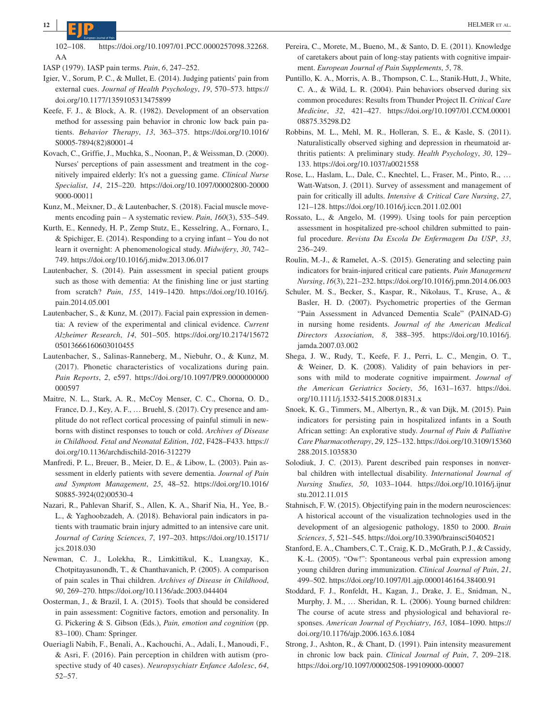102–108. [https://doi.org/10.1097/01.PCC.0000257098.32268.](https://doi.org/10.1097/01.PCC.0000257098.32268.AA) [AA](https://doi.org/10.1097/01.PCC.0000257098.32268.AA)

IASP (1979). IASP pain terms. *Pain*, *6*, 247–252.

- Igier, V., Sorum, P. C., & Mullet, E. (2014). Judging patients' pain from external cues. *Journal of Health Psychology*, *19*, 570–573. [https://](https://doi.org/10.1177/1359105313475899) [doi.org/10.1177/1359105313475899](https://doi.org/10.1177/1359105313475899)
- Keefe, F. J., & Block, A. R. (1982). Development of an observation method for assessing pain behavior in chronic low back pain patients. *Behavior Therapy*, *13*, 363–375. [https://doi.org/10.1016/](https://doi.org/10.1016/S0005-7894(82)80001-4) [S0005-7894\(82\)80001-4](https://doi.org/10.1016/S0005-7894(82)80001-4)
- Kovach, C., Griffie, J., Muchka, S., Noonan, P., & Weissman, D. (2000). Nurses' perceptions of pain assessment and treatment in the cognitively impaired elderly: It's not a guessing game. *Clinical Nurse Specialist*, *14*, 215–220. [https://doi.org/10.1097/00002800-20000](https://doi.org/10.1097/00002800-200009000-00011) [9000-00011](https://doi.org/10.1097/00002800-200009000-00011)
- Kunz, M., Meixner, D., & Lautenbacher, S. (2018). Facial muscle movements encoding pain – A systematic review. *Pain*, *160*(3), 535–549.
- Kurth, E., Kennedy, H. P., Zemp Stutz, E., Kesselring, A., Fornaro, I., & Spichiger, E. (2014). Responding to a crying infant – You do not learn it overnight: A phenomenological study. *Midwifery*, *30*, 742– 749.<https://doi.org/10.1016/j.midw.2013.06.017>
- Lautenbacher, S. (2014). Pain assessment in special patient groups such as those with dementia: At the finishing line or just starting from scratch? *Pain*, *155*, 1419–1420. [https://doi.org/10.1016/j.](https://doi.org/10.1016/j.pain.2014.05.001) [pain.2014.05.001](https://doi.org/10.1016/j.pain.2014.05.001)
- Lautenbacher, S., & Kunz, M. (2017). Facial pain expression in dementia: A review of the experimental and clinical evidence. *Current Alzheimer Research*, *14*, 501–505. [https://doi.org/10.2174/15672](https://doi.org/10.2174/1567205013666160603010455) [05013666160603010455](https://doi.org/10.2174/1567205013666160603010455)
- Lautenbacher, S., Salinas-Ranneberg, M., Niebuhr, O., & Kunz, M. (2017). Phonetic characteristics of vocalizations during pain. *Pain Reports*, *2*, e597. [https://doi.org/10.1097/PR9.0000000000](https://doi.org/10.1097/PR9.0000000000000597) [000597](https://doi.org/10.1097/PR9.0000000000000597)
- Maitre, N. L., Stark, A. R., McCoy Menser, C. C., Chorna, O. D., France, D. J., Key, A. F., … Bruehl, S. (2017). Cry presence and amplitude do not reflect cortical processing of painful stimuli in newborns with distinct responses to touch or cold. *Archives of Disease in Childhood. Fetal and Neonatal Edition*, *102*, F428–F433. [https://](https://doi.org/10.1136/archdischild-2016-312279) [doi.org/10.1136/archdischild-2016-312279](https://doi.org/10.1136/archdischild-2016-312279)
- Manfredi, P. L., Breuer, B., Meier, D. E., & Libow, L. (2003). Pain assessment in elderly patients with severe dementia. *Journal of Pain and Symptom Management*, *25*, 48–52. [https://doi.org/10.1016/](https://doi.org/10.1016/S0885-3924(02)00530-4) [S0885-3924\(02\)00530-4](https://doi.org/10.1016/S0885-3924(02)00530-4)
- Nazari, R., Pahlevan Sharif, S., Allen, K. A., Sharif Nia, H., Yee, B.- L., & Yaghoobzadeh, A. (2018). Behavioral pain indicators in patients with traumatic brain injury admitted to an intensive care unit. *Journal of Caring Sciences*, *7*, 197–203. [https://doi.org/10.15171/](https://doi.org/10.15171/jcs.2018.030) [jcs.2018.030](https://doi.org/10.15171/jcs.2018.030)
- Newman, C. J., Lolekha, R., Limkittikul, K., Luangxay, K., Chotpitayasunondh, T., & Chanthavanich, P. (2005). A comparison of pain scales in Thai children. *Archives of Disease in Childhood*, *90*, 269–270.<https://doi.org/10.1136/adc.2003.044404>
- Oosterman, J., & Brazil, I. A. (2015). Tools that should be considered in pain assessment: Cognitive factors, emotion and personality. In G. Pickering & S. Gibson (Eds.), *Pain, emotion and cognition* (pp. 83–100). Cham: Springer.
- Oueriagli Nabih, F., Benali, A., Kachouchi, A., Adali, I., Manoudi, F., & Asri, F. (2016). Pain perception in children with autism (prospective study of 40 cases). *Neuropsychiatr Enfance Adolesc*, *64*, 52–57.
- Pereira, C., Morete, M., Bueno, M., & Santo, D. E. (2011). Knowledge of caretakers about pain of long-stay patients with cognitive impairment. *European Journal of Pain Supplements*, *5*, 78.
- Puntillo, K. A., Morris, A. B., Thompson, C. L., Stanik-Hutt, J., White, C. A., & Wild, L. R. (2004). Pain behaviors observed during six common procedures: Results from Thunder Project II. *Critical Care Medicine*, *32*, 421–427. [https://doi.org/10.1097/01.CCM.00001](https://doi.org/10.1097/01.CCM.0000108875.35298.D2) [08875.35298.D2](https://doi.org/10.1097/01.CCM.0000108875.35298.D2)
- Robbins, M. L., Mehl, M. R., Holleran, S. E., & Kasle, S. (2011). Naturalistically observed sighing and depression in rheumatoid arthritis patients: A preliminary study. *Health Psychology*, *30*, 129– 133. <https://doi.org/10.1037/a0021558>
- Rose, L., Haslam, L., Dale, C., Knechtel, L., Fraser, M., Pinto, R., … Watt-Watson, J. (2011). Survey of assessment and management of pain for critically ill adults. *Intensive & Critical Care Nursing*, *27*, 121–128. <https://doi.org/10.1016/j.iccn.2011.02.001>
- Rossato, L., & Angelo, M. (1999). Using tools for pain perception assessment in hospitalized pre-school children submitted to painful procedure. *Revista Da Escola De Enfermagem Da USP*, *33*, 236–249.
- Roulin, M.-J., & Ramelet, A.-S. (2015). Generating and selecting pain indicators for brain-injured critical care patients. *Pain Management Nursing*, *16*(3), 221–232.<https://doi.org/10.1016/j.pmn.2014.06.003>
- Schuler, M. S., Becker, S., Kaspar, R., Nikolaus, T., Kruse, A., & Basler, H. D. (2007). Psychometric properties of the German "Pain Assessment in Advanced Dementia Scale" (PAINAD-G) in nursing home residents. *Journal of the American Medical Directors Association*, *8*, 388–395. [https://doi.org/10.1016/j.](https://doi.org/10.1016/j.jamda.2007.03.002) [jamda.2007.03.002](https://doi.org/10.1016/j.jamda.2007.03.002)
- Shega, J. W., Rudy, T., Keefe, F. J., Perri, L. C., Mengin, O. T., & Weiner, D. K. (2008). Validity of pain behaviors in persons with mild to moderate cognitive impairment. *Journal of the American Geriatrics Society*, *56*, 1631–1637. [https://doi.](https://doi.org/10.1111/j.1532-5415.2008.01831.x) [org/10.1111/j.1532-5415.2008.01831.x](https://doi.org/10.1111/j.1532-5415.2008.01831.x)
- Snoek, K. G., Timmers, M., Albertyn, R., & van Dijk, M. (2015). Pain indicators for persisting pain in hospitalized infants in a South African setting: An explorative study. *Journal of Pain & Palliative Care Pharmacotherapy*, *29*, 125–132. [https://doi.org/10.3109/15360](https://doi.org/10.3109/15360288.2015.1035830) [288.2015.1035830](https://doi.org/10.3109/15360288.2015.1035830)
- Solodiuk, J. C. (2013). Parent described pain responses in nonverbal children with intellectual disability. *International Journal of Nursing Studies*, *50*, 1033–1044. [https://doi.org/10.1016/j.ijnur](https://doi.org/10.1016/j.ijnurstu.2012.11.015) [stu.2012.11.015](https://doi.org/10.1016/j.ijnurstu.2012.11.015)
- Stahnisch, F. W. (2015). Objectifying pain in the modern neurosciences: A historical account of the visualization technologies used in the development of an algesiogenic pathology, 1850 to 2000. *Brain Sciences*, *5*, 521–545. <https://doi.org/10.3390/brainsci5040521>
- Stanford, E. A., Chambers, C. T., Craig, K. D., McGrath, P. J., & Cassidy, K.-L. (2005). "Ow!": Spontaneous verbal pain expression among young children during immunization. *Clinical Journal of Pain*, *21*, 499–502. <https://doi.org/10.1097/01.ajp.0000146164.38400.91>
- Stoddard, F. J., Ronfeldt, H., Kagan, J., Drake, J. E., Snidman, N., Murphy, J. M., … Sheridan, R. L. (2006). Young burned children: The course of acute stress and physiological and behavioral responses. *American Journal of Psychiatry*, *163*, 1084–1090. [https://](https://doi.org/10.1176/ajp.2006.163.6.1084) [doi.org/10.1176/ajp.2006.163.6.1084](https://doi.org/10.1176/ajp.2006.163.6.1084)
- Strong, J., Ashton, R., & Chant, D. (1991). Pain intensity measurement in chronic low back pain. *Clinical Journal of Pain*, *7*, 209–218. <https://doi.org/10.1097/00002508-199109000-00007>